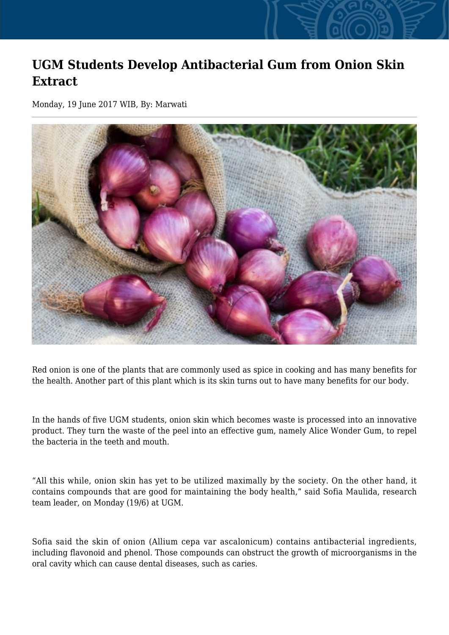## **UGM Students Develop Antibacterial Gum from Onion Skin Extract**

Monday, 19 June 2017 WIB, By: Marwati



Red onion is one of the plants that are commonly used as spice in cooking and has many benefits for the health. Another part of this plant which is its skin turns out to have many benefits for our body.

In the hands of five UGM students, onion skin which becomes waste is processed into an innovative product. They turn the waste of the peel into an effective gum, namely Alice Wonder Gum, to repel the bacteria in the teeth and mouth.

"All this while, onion skin has yet to be utilized maximally by the society. On the other hand, it contains compounds that are good for maintaining the body health," said Sofia Maulida, research team leader, on Monday (19/6) at UGM.

Sofia said the skin of onion (Allium cepa var ascalonicum) contains antibacterial ingredients, including flavonoid and phenol. Those compounds can obstruct the growth of microorganisms in the oral cavity which can cause dental diseases, such as caries.